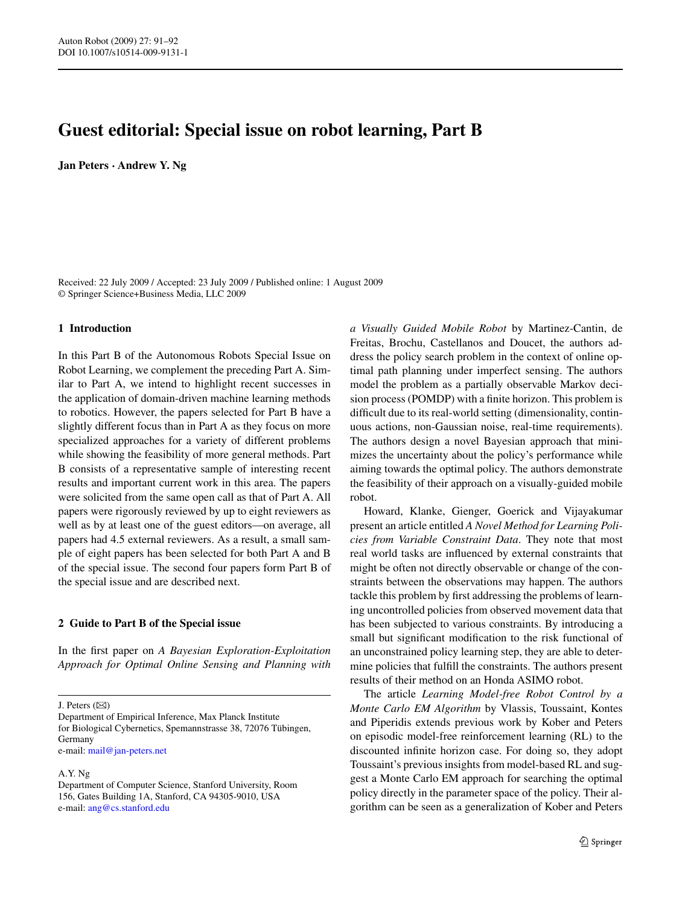## **Guest editorial: Special issue on robot learning, Part B**

**Jan Peters · Andrew Y. Ng**

Received: 22 July 2009 / Accepted: 23 July 2009 / Published online: 1 August 2009 © Springer Science+Business Media, LLC 2009

## **1 Introduction**

In this Part B of the Autonomous Robots Special Issue on Robot Learning, we complement the preceding Part A. Similar to Part A, we intend to highlight recent successes in the application of domain-driven machine learning methods to robotics. However, the papers selected for Part B have a slightly different focus than in Part A as they focus on more specialized approaches for a variety of different problems while showing the feasibility of more general methods. Part B consists of a representative sample of interesting recent results and important current work in this area. The papers were solicited from the same open call as that of Part A. All papers were rigorously reviewed by up to eight reviewers as well as by at least one of the guest editors—on average, all papers had 4.5 external reviewers. As a result, a small sample of eight papers has been selected for both Part A and B of the special issue. The second four papers form Part B of the special issue and are described next.

## **2 Guide to Part B of the Special issue**

In the first paper on *A Bayesian Exploration-Exploitation Approach for Optimal Online Sensing and Planning with*

J. Peters  $(\boxtimes)$ 

A.Y. Ng

*a Visually Guided Mobile Robot* by Martinez-Cantin, de Freitas, Brochu, Castellanos and Doucet, the authors address the policy search problem in the context of online optimal path planning under imperfect sensing. The authors model the problem as a partially observable Markov decision process (POMDP) with a finite horizon. This problem is difficult due to its real-world setting (dimensionality, continuous actions, non-Gaussian noise, real-time requirements). The authors design a novel Bayesian approach that minimizes the uncertainty about the policy's performance while aiming towards the optimal policy. The authors demonstrate the feasibility of their approach on a visually-guided mobile robot.

Howard, Klanke, Gienger, Goerick and Vijayakumar present an article entitled *A Novel Method for Learning Policies from Variable Constraint Data*. They note that most real world tasks are influenced by external constraints that might be often not directly observable or change of the constraints between the observations may happen. The authors tackle this problem by first addressing the problems of learning uncontrolled policies from observed movement data that has been subjected to various constraints. By introducing a small but significant modification to the risk functional of an unconstrained policy learning step, they are able to determine policies that fulfill the constraints. The authors present results of their method on an Honda ASIMO robot.

The article *Learning Model-free Robot Control by a Monte Carlo EM Algorithm* by Vlassis, Toussaint, Kontes and Piperidis extends previous work by Kober and Peters on episodic model-free reinforcement learning (RL) to the discounted infinite horizon case. For doing so, they adopt Toussaint's previous insights from model-based RL and suggest a Monte Carlo EM approach for searching the optimal policy directly in the parameter space of the policy. Their algorithm can be seen as a generalization of Kober and Peters

Department of Empirical Inference, Max Planck Institute for Biological Cybernetics, Spemannstrasse 38, 72076 Tübingen, Germany e-mail: [mail@jan-peters.net](mailto:mail@jan-peters.net)

Department of Computer Science, Stanford University, Room 156, Gates Building 1A, Stanford, CA 94305-9010, USA e-mail: [ang@cs.stanford.edu](mailto:ang@cs.stanford.edu)